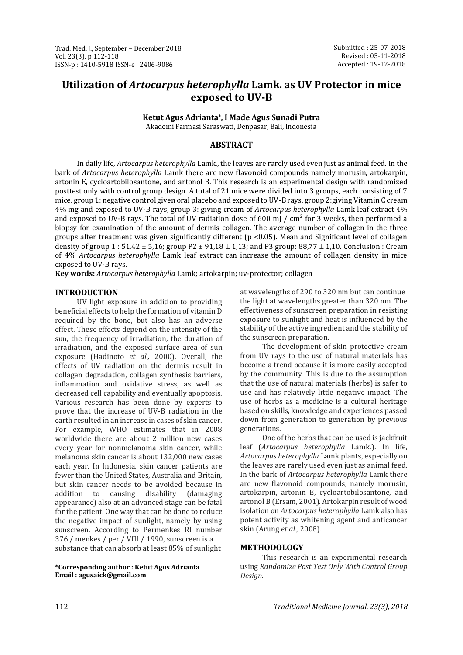# **Utilization of** *Artocarpus heterophylla* **Lamk. as UV Protector in mice exposed to UV-B**

**Ketut Agus Adrianta\* , I Made Agus Sunadi Putra**

Akademi Farmasi Saraswati, Denpasar, Bali, Indonesia

## **ABSTRACT**

In daily life, *Artocarpus heterophylla* Lamk., the leaves are rarely used even just as animal feed. In the bark of *Artocarpus heterophylla* Lamk there are new flavonoid compounds namely morusin, artokarpin, artonin E, cycloartobilosantone, and artonol B. This research is an experimental design with randomized posttest only with control group design. A total of 21 mice were divided into 3 groups, each consisting of 7 mice, group 1: negative control given oral placebo and exposed to UV-B rays, group 2:giving Vitamin C cream 4% mg and exposed to UV-B rays, group 3: giving cream of *Artocarpus heterophylla* Lamk leaf extract 4% and exposed to UV-B rays. The total of UV radiation dose of 600 mJ /  $\text{cm}^2$  for 3 weeks, then performed a biopsy for examination of the amount of dermis collagen. The average number of collagen in the three groups after treatment was given significantly different (p <0.05). Mean and Significant level of collagen density of group  $1: 51,42 \pm 5,16$ ; group  $P2 \pm 91,18 \pm 1,13$ ; and P3 group: 88,77  $\pm 1,10$ . Conclusion : Cream of 4% *Artocarpus heterophylla* Lamk leaf extract can increase the amount of collagen density in mice exposed to UV-B rays.

**Key words:** *Artocarpus heterophylla* Lamk; artokarpin; uv-protector; collagen

## **INTRODUCTION**

UV light exposure in addition to providing beneficial effects to help the formation of vitamin D required by the bone, but also has an adverse effect. These effects depend on the intensity of the sun, the frequency of irradiation, the duration of irradiation, and the exposed surface area of sun exposure (Hadinoto *et al.,* 2000). Overall, the effects of UV radiation on the dermis result in collagen degradation, collagen synthesis barriers, inflammation and oxidative stress, as well as decreased cell capability and eventually apoptosis. Various research has been done by experts to prove that the increase of UV-B radiation in the earth resulted in an increase in cases of skin cancer. For example, WHO estimates that in 2008 worldwide there are about 2 million new cases every year for nonmelanoma skin cancer, while melanoma skin cancer is about 132,000 new cases each year. In Indonesia, skin cancer patients are fewer than the United States, Australia and Britain, but skin cancer needs to be avoided because in addition to causing disability (damaging appearance) also at an advanced stage can be fatal for the patient. One way that can be done to reduce the negative impact of sunlight, namely by using sunscreen. According to Permenkes RI number 376 / menkes / per / VIII / 1990, sunscreen is a substance that can absorb at least 85% of sunlight

**\*Corresponding author : Ketut Agus Adrianta Email : agusaick@gmail.com**

at wavelengths of 290 to 320 nm but can continue the light at wavelengths greater than 320 nm. The effectiveness of sunscreen preparation in resisting exposure to sunlight and heat is influenced by the stability of the active ingredient and the stability of the sunscreen preparation.

The development of skin protective cream from UV rays to the use of natural materials has become a trend because it is more easily accepted by the community. This is due to the assumption that the use of natural materials (herbs) is safer to use and has relatively little negative impact. The use of herbs as a medicine is a cultural heritage based on skills, knowledge and experiences passed down from generation to generation by previous generations.

One of the herbs that can be used is jackfruit leaf (*Artocarpus heterophylla* Lamk.). In life, *Artocarpus heterophylla* Lamk plants, especially on the leaves are rarely used even just as animal feed. In the bark of *Artocarpus heterophylla* Lamk there are new flavonoid compounds, namely morusin, artokarpin, artonin E, cycloartobilosantone, and artonol B (Ersam, 2001). Artokarpin result of wood isolation on *Artocarpus heterophylla* Lamk also has potent activity as whitening agent and anticancer skin (Arung *et al.,* 2008).

## **METHODOLOGY**

This research is an experimental research using *Randomize Post Test Only With Control Group Design.*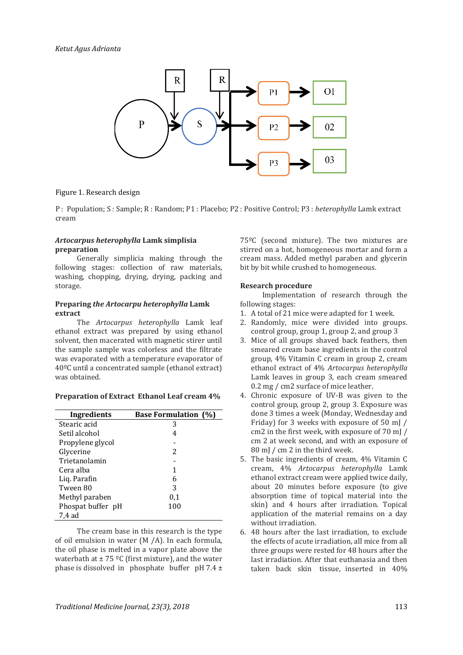

## Figure 1. Research design

P : Population; S : Sample; R : Random; P1 : Placebo; P2 : Positive Control; P3 : *heterophylla* Lamk extract cream

#### *Artocarpus heterophylla* **Lamk simplisia preparation**

Generally simplicia making through the following stages: collection of raw materials, washing, chopping, drying, drying, packing and storage.

#### **Preparing** *the Artocarpu heterophylla* **Lamk extract**

The *Artocarpus heterophylla* Lamk leaf ethanol extract was prepared by using ethanol solvent, then macerated with magnetic stirer until the sample sample was colorless and the filtrate was evaporated with a temperature evaporator of 40ºC until a concentrated sample (ethanol extract) was obtained.

#### **Preparation of Extract Ethanol Leaf cream 4%**

| Ingredients       | <b>Base Formulation (%)</b> |
|-------------------|-----------------------------|
| Stearic acid      | 3                           |
| Setil alcohol     | 4                           |
| Propylene glycol  |                             |
| Glycerine         | 2                           |
| Trietanolamin     |                             |
| Cera alba         | 1                           |
| Liq. Parafin      | 6                           |
| Tween 80          | 3                           |
| Methyl paraben    | 0,1                         |
| Phospat buffer pH | 100                         |
| 7,4 ad            |                             |

The cream base in this research is the type of oil emulsion in water (M /A). In each formula, the oil phase is melted in a vapor plate above the waterbath at  $\pm$  75 °C (first mixture), and the water phase is dissolved in phosphate buffer  $pH 7.4 \pm$ 

75ºC (second mixture). The two mixtures are stirred on a hot, homogeneous mortar and form a cream mass. Added methyl paraben and glycerin bit by bit while crushed to homogeneous.

#### **Research procedure**

Implementation of research through the following stages:

- 1. A total of 21 mice were adapted for 1 week.
- 2. Randomly, mice were divided into groups. control group, group 1, group 2, and group 3
- 3. Mice of all groups shaved back feathers, then smeared cream base ingredients in the control group, 4% Vitamin C cream in group 2, cream ethanol extract of 4% *Artocarpus heterophylla* Lamk leaves in group 3, each cream smeared 0.2 mg / cm2 surface of mice leather.
- 4. Chronic exposure of UV-B was given to the control group, group 2, group 3. Exposure was done 3 times a week (Monday, Wednesday and Friday) for 3 weeks with exposure of 50 mJ / cm2 in the first week, with exposure of 70 mJ / cm 2 at week second, and with an exposure of 80 mJ / cm 2 in the third week.
- 5. The basic ingredients of cream, 4% Vitamin C cream, 4% *Artocarpus heterophylla* Lamk ethanol extract cream were applied twice daily, about 20 minutes before exposure (to give absorption time of topical material into the skin) and 4 hours after irradiation. Topical application of the material remains on a day without irradiation.
- 6. 48 hours after the last irradiation, to exclude the effects of acute irradiation, all mice from all three groups were rested for 48 hours after the last irradiation. After that euthanasia and then taken back skin tissue, inserted in 40%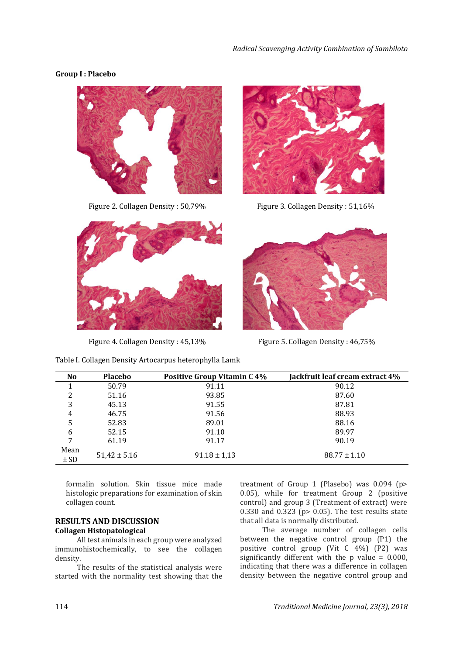## **Group I : Placebo**





Figure 2. Collagen Density : 50,79% Figure 3. Collagen Density : 51,16%



Figure 4. Collagen Density: 45,13% Figure 5. Collagen Density: 46,75%



| <b>No</b>        | <b>Placebo</b>   | <b>Positive Group Vitamin C 4%</b> | Jackfruit leaf cream extract 4% |
|------------------|------------------|------------------------------------|---------------------------------|
|                  | 50.79            | 91.11                              | 90.12                           |
| 2                | 51.16            | 93.85                              | 87.60                           |
| 3                | 45.13            | 91.55                              | 87.81                           |
| 4                | 46.75            | 91.56                              | 88.93                           |
| 5                | 52.83            | 89.01                              | 88.16                           |
| 6                | 52.15            | 91.10                              | 89.97                           |
| 7                | 61.19            | 91.17                              | 90.19                           |
| Mean<br>$\pm$ SD | $51,42 \pm 5.16$ | $91.18 \pm 1.13$                   | $88.77 \pm 1.10$                |

formalin solution. Skin tissue mice made histologic preparations for examination of skin collagen count.

### **RESULTS AND DISCUSSION Collagen Histopatological**

All test animals in each group were analyzed immunohistochemically, to see the collagen density.

The results of the statistical analysis were started with the normality test showing that the treatment of Group 1 (Plasebo) was 0.094 (p> 0.05), while for treatment Group 2 (positive control) and group 3 (Treatment of extract) were 0.330 and 0.323 (p> 0.05). The test results state that all data is normally distributed.

The average number of collagen cells between the negative control group (P1) the positive control group (Vit C 4%) (P2) was significantly different with the p value = 0.000, indicating that there was a difference in collagen density between the negative control group and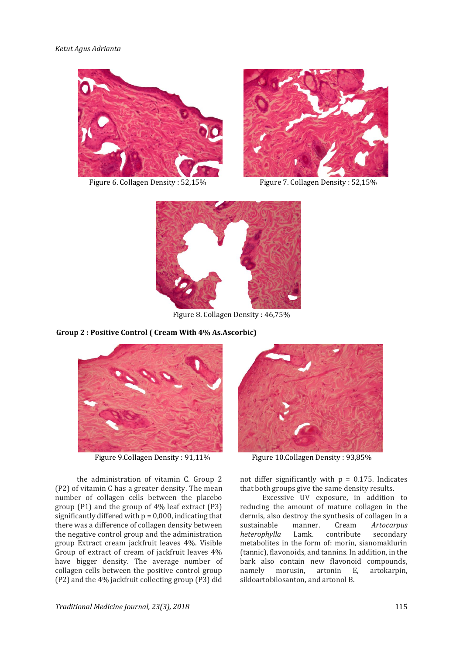#### *Ketut Agus Adrianta*



Figure 6. Collagen Density: 52,15% Figure 7. Collagen Density: 52,15%





Figure 8. Collagen Density : 46,75%

#### **Group 2 : Positive Control ( Cream With 4% As.Ascorbic)**



the administration of vitamin C. Group 2 (P2) of vitamin C has a greater density. The mean number of collagen cells between the placebo group (P1) and the group of 4% leaf extract (P3) significantly differed with  $p = 0,000$ , indicating that there was a difference of collagen density between the negative control group and the administration group Extract cream jackfruit leaves 4%. Visible Group of extract of cream of jackfruit leaves 4% have bigger density. The average number of collagen cells between the positive control group (P2) and the 4% jackfruit collecting group (P3) did



Figure 9.Collagen Density: 91,11% Figure 10.Collagen Density: 93,85%

not differ significantly with  $p = 0.175$ . Indicates that both groups give the same density results.

Excessive UV exposure, in addition to reducing the amount of mature collagen in the dermis, also destroy the synthesis of collagen in a sustainable manner. Cream *Artocarpus heterophylla* Lamk. contribute secondary metabolites in the form of: morin, sianomaklurin (tannic), flavonoids, and tannins. In addition, in the bark also contain new flavonoid compounds, namely morusin, artonin E, artokarpin, sikloartobilosanton, and artonol B.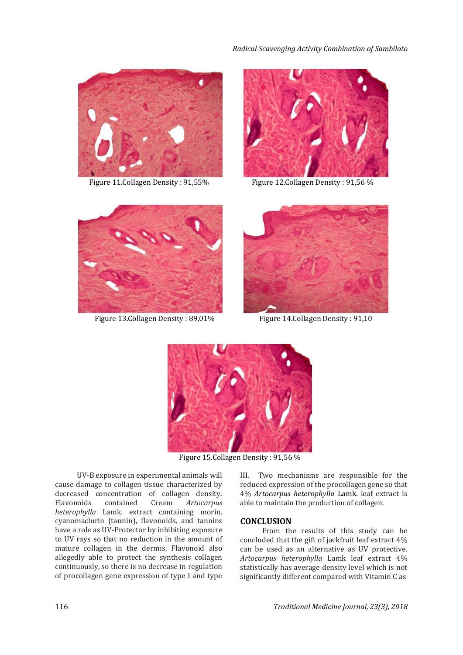



Figure 11. Collagen Density: 91,55% Figure 12. Collagen Density: 91,56 %



Figure 13. Collagen Density: 89,01% Figure 14. Collagen Density: 91,10





Figure 15.Collagen Density : 91,56 %

UV-B exposure in experimental animals will cause damage to collagen tissue characterized by decreased concentration of collagen density. Flavonoids contained Cream *Artocarpus heterophylla* Lamk. extract containing morin, cyanomaclurin (tannin), flavonoids, and tannins have a role as UV-Protector by inhibiting exposure to UV rays so that no reduction in the amount of mature collagen in the dermis, Flavonoid also allegedly able to protect the synthesis collagen continuously, so there is no decrease in regulation of procollagen gene expression of type I and type III. Two mechanisms are responsible for the reduced expression of the procollagen gene so that 4% *Artocarpus heterophylla* Lamk. leaf extract is able to maintain the production of collagen.

## **CONCLUSION**

From the results of this study can be concluded that the gift of jackfruit leaf extract 4% can be used as an alternative as UV protective. *Artocarpus heterophylla* Lamk leaf extract 4% statistically has average density level which is not significantly different compared with Vitamin C as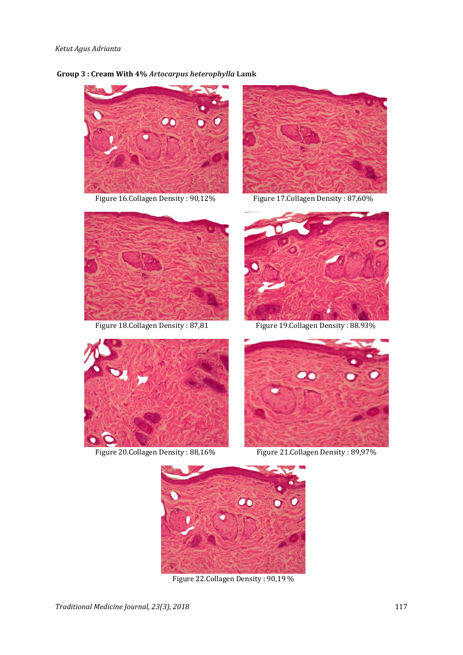## **Group 3 : Cream With 4%** *Artocarpus heterophylla* **Lamk**



Figure 16.Collagen Density : 90,12% Figure 17.Collagen Density : 87,60%







Figure 18.Collagen Density: 87,81 Figure 19.Collagen Density: 88.93%





Figure 20.Collagen Density : 88,16% Figure 21.Collagen Density : 89,97%



Figure 22.Collagen Density : 90,19 %